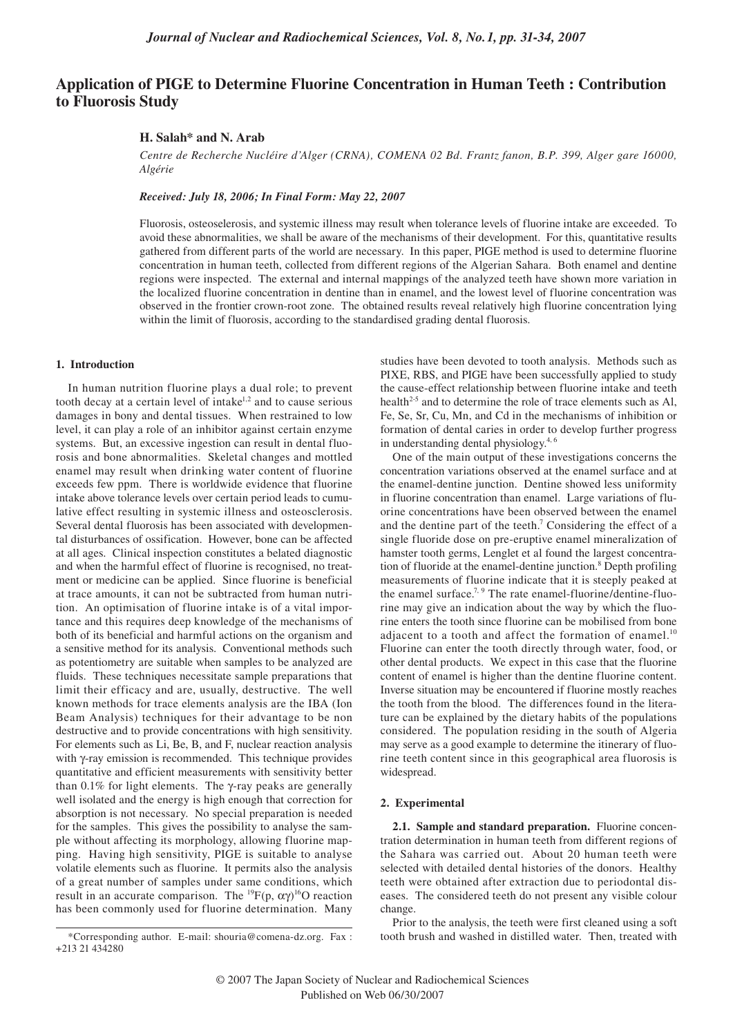# **Application of PIGE to Determine Fluorine Concentration in Human Teeth : Contribution to Fluorosis Study**

## **H. Salah\* and N. Arab**

*Centre de Recherche Nucléire d'Alger (CRNA), COMENA 02 Bd. Frantz fanon, B.P. 399, Alger gare 16000, Algérie*

*Received: July 18, 2006; In Final Form: May 22, 2007*

Fluorosis, osteoselerosis, and systemic illness may result when tolerance levels of fluorine intake are exceeded. To avoid these abnormalities, we shall be aware of the mechanisms of their development. For this, quantitative results gathered from different parts of the world are necessary. In this paper, PIGE method is used to determine fluorine concentration in human teeth, collected from different regions of the Algerian Sahara. Both enamel and dentine regions were inspected. The external and internal mappings of the analyzed teeth have shown more variation in the localized fluorine concentration in dentine than in enamel, and the lowest level of fluorine concentration was observed in the frontier crown-root zone. The obtained results reveal relatively high fluorine concentration lying within the limit of fluorosis, according to the standardised grading dental fluorosis.

## **1. Introduction**

In human nutrition fluorine plays a dual role; to prevent tooth decay at a certain level of intake<sup>1,2</sup> and to cause serious damages in bony and dental tissues. When restrained to low level, it can play a role of an inhibitor against certain enzyme systems. But, an excessive ingestion can result in dental fluorosis and bone abnormalities. Skeletal changes and mottled enamel may result when drinking water content of fluorine exceeds few ppm. There is worldwide evidence that fluorine intake above tolerance levels over certain period leads to cumulative effect resulting in systemic illness and osteosclerosis. Several dental fluorosis has been associated with developmental disturbances of ossification. However, bone can be affected at all ages. Clinical inspection constitutes a belated diagnostic and when the harmful effect of fluorine is recognised, no treatment or medicine can be applied. Since fluorine is beneficial at trace amounts, it can not be subtracted from human nutrition. An optimisation of fluorine intake is of a vital importance and this requires deep knowledge of the mechanisms of both of its beneficial and harmful actions on the organism and a sensitive method for its analysis. Conventional methods such as potentiometry are suitable when samples to be analyzed are fluids. These techniques necessitate sample preparations that limit their efficacy and are, usually, destructive. The well known methods for trace elements analysis are the IBA (Ion Beam Analysis) techniques for their advantage to be non destructive and to provide concentrations with high sensitivity. For elements such as Li, Be, B, and F, nuclear reaction analysis with γ-ray emission is recommended. This technique provides quantitative and efficient measurements with sensitivity better than  $0.1\%$  for light elements. The γ-ray peaks are generally well isolated and the energy is high enough that correction for absorption is not necessary. No special preparation is needed for the samples. This gives the possibility to analyse the sample without affecting its morphology, allowing fluorine mapping. Having high sensitivity, PIGE is suitable to analyse volatile elements such as fluorine. It permits also the analysis of a great number of samples under same conditions, which result in an accurate comparison. The <sup>19</sup> $F(p, \alpha \gamma)^{16}$ O reaction has been commonly used for fluorine determination. Many

studies have been devoted to tooth analysis. Methods such as PIXE, RBS, and PIGE have been successfully applied to study the cause-effect relationship between fluorine intake and teeth health<sup>2-5</sup> and to determine the role of trace elements such as Al, Fe, Se, Sr, Cu, Mn, and Cd in the mechanisms of inhibition or formation of dental caries in order to develop further progress in understanding dental physiology.4, 6

One of the main output of these investigations concerns the concentration variations observed at the enamel surface and at the enamel-dentine junction. Dentine showed less uniformity in fluorine concentration than enamel. Large variations of fluorine concentrations have been observed between the enamel and the dentine part of the teeth.<sup>7</sup> Considering the effect of a single fluoride dose on pre-eruptive enamel mineralization of hamster tooth germs, Lenglet et al found the largest concentration of fluoride at the enamel-dentine junction.<sup>8</sup> Depth profiling measurements of fluorine indicate that it is steeply peaked at the enamel surface.<sup>7, 9</sup> The rate enamel-fluorine/dentine-fluorine may give an indication about the way by which the fluorine enters the tooth since fluorine can be mobilised from bone adjacent to a tooth and affect the formation of enamel. $10$ Fluorine can enter the tooth directly through water, food, or other dental products. We expect in this case that the fluorine content of enamel is higher than the dentine fluorine content. Inverse situation may be encountered if fluorine mostly reaches the tooth from the blood. The differences found in the literature can be explained by the dietary habits of the populations considered. The population residing in the south of Algeria may serve as a good example to determine the itinerary of fluorine teeth content since in this geographical area fluorosis is widespread.

#### **2. Experimental**

**2.1. Sample and standard preparation.** Fluorine concentration determination in human teeth from different regions of the Sahara was carried out. About 20 human teeth were selected with detailed dental histories of the donors. Healthy teeth were obtained after extraction due to periodontal diseases. The considered teeth do not present any visible colour change.

Prior to the analysis, the teeth were first cleaned using a soft tooth brush and washed in distilled water. Then, treated with

<sup>\*</sup>Corresponding author. E-mail: shouria@comena-dz.org. Fax : +213 21 434280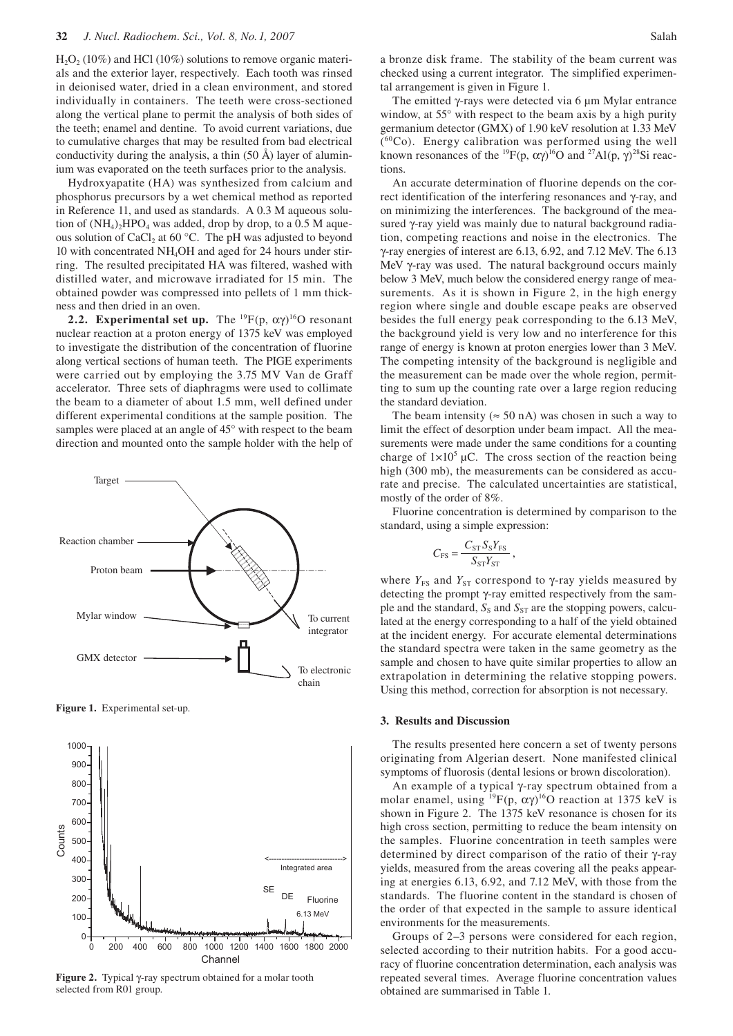$H<sub>2</sub>O<sub>2</sub>$  (10%) and HCl (10%) solutions to remove organic materials and the exterior layer, respectively. Each tooth was rinsed in deionised water, dried in a clean environment, and stored individually in containers. The teeth were cross-sectioned along the vertical plane to permit the analysis of both sides of the teeth; enamel and dentine. To avoid current variations, due to cumulative charges that may be resulted from bad electrical conductivity during the analysis, a thin (50 Å) layer of aluminium was evaporated on the teeth surfaces prior to the analysis.

Hydroxyapatite (HA) was synthesized from calcium and phosphorus precursors by a wet chemical method as reported in Reference 11, and used as standards. A 0.3 M aqueous solution of  $(NH_4)$ <sup>2</sup>HPO<sub>4</sub> was added, drop by drop, to a 0.5 M aqueous solution of CaCl<sub>2</sub> at 60 °C. The pH was adjusted to beyond 10 with concentrated NH4OH and aged for 24 hours under stirring. The resulted precipitated HA was filtered, washed with distilled water, and microwave irradiated for 15 min. The obtained powder was compressed into pellets of 1 mm thickness and then dried in an oven.

**2.2. Experimental set up.** The  ${}^{19}F(p, \alpha\gamma){}^{16}O$  resonant nuclear reaction at a proton energy of 1375 keV was employed to investigate the distribution of the concentration of fluorine along vertical sections of human teeth. The PIGE experiments were carried out by employing the 3.75 MV Van de Graff accelerator. Three sets of diaphragms were used to collimate the beam to a diameter of about 1.5 mm, well defined under different experimental conditions at the sample position. The samples were placed at an angle of 45° with respect to the beam direction and mounted onto the sample holder with the help of



**Figure 1.** Experimental set-up.



**Figure 2.** Typical γ-ray spectrum obtained for a molar tooth selected from R01 group.

a bronze disk frame. The stability of the beam current was checked using a current integrator. The simplified experimental arrangement is given in Figure 1.

The emitted γ-rays were detected via 6 µm Mylar entrance window, at 55° with respect to the beam axis by a high purity germanium detector (GMX) of 1.90 keV resolution at 1.33 MeV  $(^{60}Co)$ . Energy calibration was performed using the well known resonances of the <sup>19</sup>F(p,  $\alpha \gamma$ <sup>16</sup>O and <sup>27</sup>Al(p,  $\gamma$ )<sup>28</sup>Si reactions.

An accurate determination of fluorine depends on the correct identification of the interfering resonances and γ-ray, and on minimizing the interferences. The background of the measured γ-ray yield was mainly due to natural background radiation, competing reactions and noise in the electronics. The γ-ray energies of interest are 6.13, 6.92, and 7.12 MeV. The 6.13 MeV γ-ray was used. The natural background occurs mainly below 3 MeV, much below the considered energy range of measurements. As it is shown in Figure 2, in the high energy region where single and double escape peaks are observed besides the full energy peak corresponding to the 6.13 MeV, the background yield is very low and no interference for this range of energy is known at proton energies lower than 3 MeV. The competing intensity of the background is negligible and the measurement can be made over the whole region, permitting to sum up the counting rate over a large region reducing the standard deviation.

The beam intensity ( $\approx$  50 nA) was chosen in such a way to limit the effect of desorption under beam impact. All the measurements were made under the same conditions for a counting charge of  $1 \times 10^5$  µC. The cross section of the reaction being high (300 mb), the measurements can be considered as accurate and precise. The calculated uncertainties are statistical, mostly of the order of 8%.

Fluorine concentration is determined by comparison to the standard, using a simple expression:

$$
C_{\rm FS} = \frac{C_{\rm ST} S_{\rm S} Y_{\rm FS}}{S_{\rm ST} Y_{\rm ST}}\,,
$$

where  $Y_{FS}$  and  $Y_{ST}$  correspond to  $\gamma$ -ray yields measured by detecting the prompt γ-ray emitted respectively from the sample and the standard,  $S_S$  and  $S_{ST}$  are the stopping powers, calculated at the energy corresponding to a half of the yield obtained at the incident energy. For accurate elemental determinations the standard spectra were taken in the same geometry as the sample and chosen to have quite similar properties to allow an extrapolation in determining the relative stopping powers. Using this method, correction for absorption is not necessary.

# **3. Results and Discussion**

The results presented here concern a set of twenty persons originating from Algerian desert. None manifested clinical symptoms of fluorosis (dental lesions or brown discoloration).

An example of a typical γ-ray spectrum obtained from a molar enamel, using  ${}^{19}F(p, \alpha\gamma){}^{16}O$  reaction at 1375 keV is shown in Figure 2. The 1375 keV resonance is chosen for its high cross section, permitting to reduce the beam intensity on the samples. Fluorine concentration in teeth samples were determined by direct comparison of the ratio of their γ-ray yields, measured from the areas covering all the peaks appearing at energies 6.13, 6.92, and 7.12 MeV, with those from the standards. The fluorine content in the standard is chosen of the order of that expected in the sample to assure identical environments for the measurements.

Groups of 2–3 persons were considered for each region, selected according to their nutrition habits. For a good accuracy of fluorine concentration determination, each analysis was repeated several times. Average fluorine concentration values obtained are summarised in Table 1.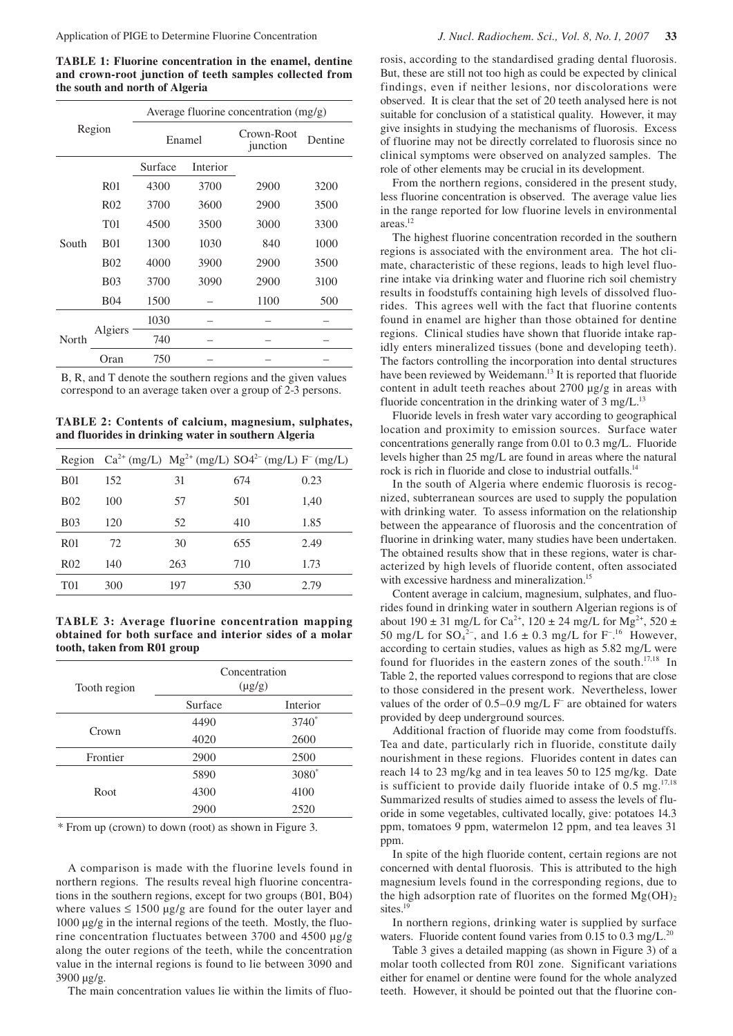**TABLE 1: Fluorine concentration in the enamel, dentine and crown-root junction of teeth samples collected from the south and north of Algeria** 

| Region |                 | Average fluorine concentration (mg/g) |          |                        |         |  |
|--------|-----------------|---------------------------------------|----------|------------------------|---------|--|
|        |                 | Enamel                                |          | Crown-Root<br>junction | Dentine |  |
|        |                 | Surface                               | Interior |                        |         |  |
|        | <b>R01</b>      | 4300                                  | 3700     | 2900                   | 3200    |  |
| South  | R <sub>02</sub> | 3700                                  | 3600     | 2900                   | 3500    |  |
|        | T01             | 4500                                  | 3500     | 3000                   | 3300    |  |
|        | <b>B01</b>      | 1300                                  | 1030     | 840                    | 1000    |  |
|        | <b>B02</b>      | 4000                                  | 3900     | 2900                   | 3500    |  |
|        | <b>B03</b>      | 3700                                  | 3090     | 2900                   | 3100    |  |
|        | <b>B04</b>      | 1500                                  |          | 1100                   | 500     |  |
| North  | Algiers         | 1030                                  |          |                        |         |  |
|        |                 | 740                                   |          |                        |         |  |
|        | Oran            | 750                                   |          |                        |         |  |

B, R, and T denote the southern regions and the given values correspond to an average taken over a group of 2-3 persons.

**TABLE 2: Contents of calcium, magnesium, sulphates, and fluorides in drinking water in southern Algeria** 

|                  |     |     | Region $Ca^{2+}$ (mg/L) $Mg^{2+}$ (mg/L) $SO4^{2-}$ (mg/L) $F^{-}$ (mg/L) |      |
|------------------|-----|-----|---------------------------------------------------------------------------|------|
| <b>B01</b>       | 152 | 31  | 674                                                                       | 0.23 |
| <b>B02</b>       | 100 | 57  | 501                                                                       | 1,40 |
| <b>B03</b>       | 120 | 52  | 410                                                                       | 1.85 |
| R <sub>01</sub>  | 72  | 30  | 655                                                                       | 2.49 |
| R <sub>0</sub> 2 | 140 | 263 | 710                                                                       | 1.73 |
| T <sub>01</sub>  | 300 | 197 | 530                                                                       | 2.79 |

**TABLE 3: Average fluorine concentration mapping obtained for both surface and interior sides of a molar tooth, taken from R01 group** 

| Tooth region | Concentration<br>$(\mu g/g)$ |                   |  |
|--------------|------------------------------|-------------------|--|
|              | Surface                      | Interior          |  |
|              | 4490                         | $3740^*$          |  |
| Crown        | 4020                         | 2600              |  |
| Frontier     | 2900                         | 2500              |  |
|              | 5890                         | 3080 <sup>*</sup> |  |
| Root         | 4300                         | 4100              |  |
|              | 2900                         | 2520              |  |

\* From up (crown) to down (root) as shown in Figure 3.

A comparison is made with the fluorine levels found in northern regions. The results reveal high fluorine concentrations in the southern regions, except for two groups (B01, B04) where values  $\leq 1500 \mu g/g$  are found for the outer layer and  $1000 \mu g/g$  in the internal regions of the teeth. Mostly, the fluorine concentration fluctuates between 3700 and 4500 µg/g along the outer regions of the teeth, while the concentration value in the internal regions is found to lie between 3090 and 3900 µg/g.

The main concentration values lie within the limits of fluo-

rosis, according to the standardised grading dental fluorosis. But, these are still not too high as could be expected by clinical findings, even if neither lesions, nor discolorations were observed. It is clear that the set of 20 teeth analysed here is not suitable for conclusion of a statistical quality. However, it may give insights in studying the mechanisms of fluorosis. Excess of fluorine may not be directly correlated to fluorosis since no clinical symptoms were observed on analyzed samples. The role of other elements may be crucial in its development.

From the northern regions, considered in the present study, less fluorine concentration is observed. The average value lies in the range reported for low fluorine levels in environmental areas.12

The highest fluorine concentration recorded in the southern regions is associated with the environment area. The hot climate, characteristic of these regions, leads to high level fluorine intake via drinking water and fluorine rich soil chemistry results in foodstuffs containing high levels of dissolved fluorides. This agrees well with the fact that fluorine contents found in enamel are higher than those obtained for dentine regions. Clinical studies have shown that fluoride intake rapidly enters mineralized tissues (bone and developing teeth). The factors controlling the incorporation into dental structures have been reviewed by Weidemann.<sup>13</sup> It is reported that fluoride content in adult teeth reaches about 2700 µg/g in areas with fluoride concentration in the drinking water of  $3 \text{ mg/L}^{13}$ 

Fluoride levels in fresh water vary according to geographical location and proximity to emission sources. Surface water concentrations generally range from 0.01 to 0.3 mg/L. Fluoride levels higher than 25 mg/L are found in areas where the natural rock is rich in fluoride and close to industrial outfalls.<sup>14</sup>

In the south of Algeria where endemic fluorosis is recognized, subterranean sources are used to supply the population with drinking water. To assess information on the relationship between the appearance of fluorosis and the concentration of fluorine in drinking water, many studies have been undertaken. The obtained results show that in these regions, water is characterized by high levels of fluoride content, often associated with excessive hardness and mineralization.<sup>15</sup>

Content average in calcium, magnesium, sulphates, and fluorides found in drinking water in southern Algerian regions is of about 190  $\pm$  31 mg/L for Ca<sup>2+</sup>, 120  $\pm$  24 mg/L for Mg<sup>2+</sup>, 520  $\pm$ 50 mg/L for  $SO_4^2$ <sup>-</sup>, and 1.6  $\pm$  0.3 mg/L for F<sup>-16</sup> However, according to certain studies, values as high as 5.82 mg/L were found for fluorides in the eastern zones of the south.<sup>17,18</sup> In Table 2, the reported values correspond to regions that are close to those considered in the present work. Nevertheless, lower values of the order of 0.5–0.9 mg/L F– are obtained for waters provided by deep underground sources.

Additional fraction of fluoride may come from foodstuffs. Tea and date, particularly rich in fluoride, constitute daily nourishment in these regions. Fluorides content in dates can reach 14 to 23 mg/kg and in tea leaves 50 to 125 mg/kg. Date is sufficient to provide daily fluoride intake of 0.5 mg.<sup>17,18</sup> Summarized results of studies aimed to assess the levels of fluoride in some vegetables, cultivated locally, give: potatoes 14.3 ppm, tomatoes 9 ppm, watermelon 12 ppm, and tea leaves 31 ppm.

In spite of the high fluoride content, certain regions are not concerned with dental fluorosis. This is attributed to the high magnesium levels found in the corresponding regions, due to the high adsorption rate of fluorites on the formed  $Mg(OH)<sub>2</sub>$ sites.<sup>19</sup>

In northern regions, drinking water is supplied by surface waters. Fluoride content found varies from 0.15 to 0.3 mg/ $L^{20}$ .

Table 3 gives a detailed mapping (as shown in Figure 3) of a molar tooth collected from R01 zone. Significant variations either for enamel or dentine were found for the whole analyzed teeth. However, it should be pointed out that the fluorine con-